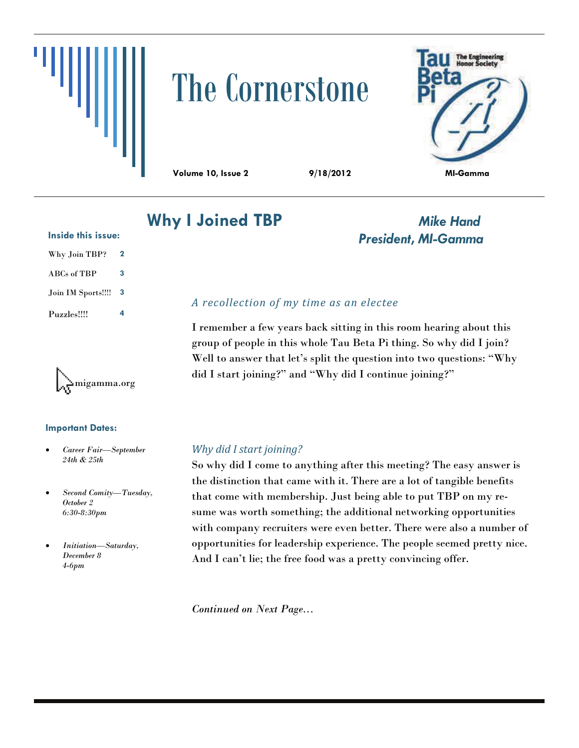

# The Cornerstone



**Volume 10, Issue 2 9/18/2012 MI-Gamma** 

# **Why I Joined TBP** *Mike Hand*

#### **Inside this issue:**

| Why Join TBP?             | 2 |
|---------------------------|---|
| $\rm{ABCs}$ of $\rm{TBP}$ | 3 |
| Join IM Sports!!!!        | 3 |
| Puzzles!!!!               | 4 |



#### **Important Dates:**

- *Career Fair—September 24th & 25th*
- *Second Comity—Tuesday, October 2 6:30-8:30pm*
- *Initiation—Saturday, December 8 4-6pm*

# *President, MI-Gamma*

## *A recollection of my time as an electee*

I remember a few years back sitting in this room hearing about this group of people in this whole Tau Beta Pi thing. So why did I join? Well to answer that let's split the question into two questions: "Why did I start joining?" and "Why did I continue joining?"

#### *Why did I start joining?*

So why did I come to anything after this meeting? The easy answer is the distinction that came with it. There are a lot of tangible benefits that come with membership. Just being able to put TBP on my resume was worth something; the additional networking opportunities with company recruiters were even better. There were also a number of opportunities for leadership experience. The people seemed pretty nice. And I can't lie; the free food was a pretty convincing offer.

*Continued on Next Page...*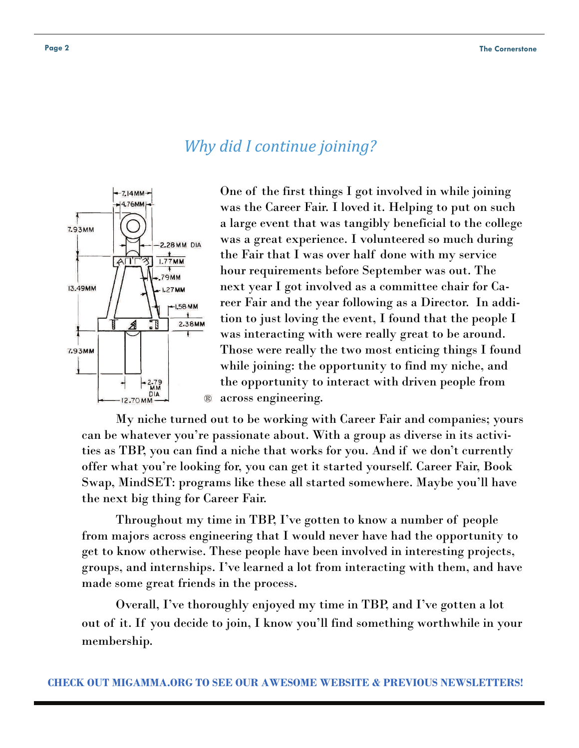# *Why did I continue joining?*



One of the first things I got involved in while joining was the Career Fair. I loved it. Helping to put on such a large event that was tangibly beneficial to the college was a great experience. I volunteered so much during the Fair that I was over half done with my service hour requirements before September was out. The next year I got involved as a committee chair for Career Fair and the year following as a Director. In addition to just loving the event, I found that the people I was interacting with were really great to be around. Those were really the two most enticing things I found while joining: the opportunity to find my niche, and the opportunity to interact with driven people from across engineering.

 My niche turned out to be working with Career Fair and companies; yours can be whatever you're passionate about. With a group as diverse in its activities as TBP, you can find a niche that works for you. And if we don't currently offer what you're looking for, you can get it started yourself. Career Fair, Book Swap, MindSET: programs like these all started somewhere. Maybe you'll have the next big thing for Career Fair.

 Throughout my time in TBP, I've gotten to know a number of people from majors across engineering that I would never have had the opportunity to get to know otherwise. These people have been involved in interesting projects, groups, and internships. I've learned a lot from interacting with them, and have made some great friends in the process.

 Overall, I've thoroughly enjoyed my time in TBP, and I've gotten a lot out of it. If you decide to join, I know you'll find something worthwhile in your membership.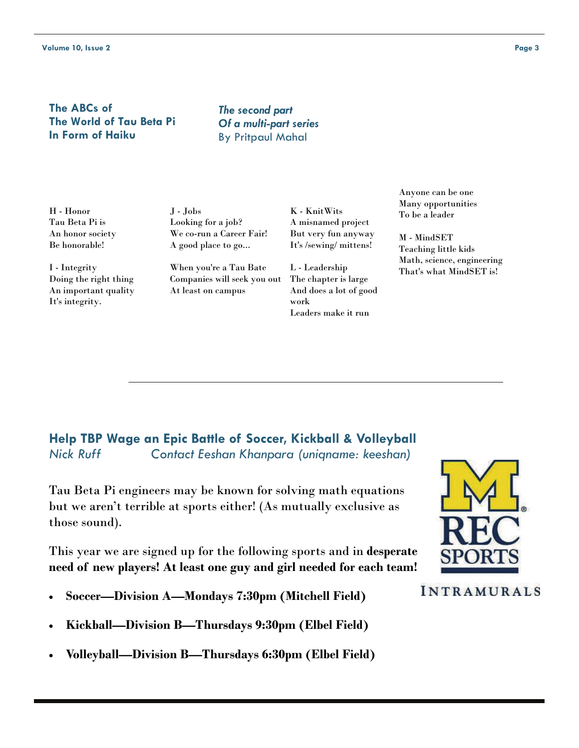#### **The ABCs of The World of Tau Beta Pi In Form of Haiku**

*The second part Of a multi-part series*  By Pritpaul Mahal

H - Honor Tau Beta Pi is An honor society Be honorable!

I - Integrity Doing the right thing An important quality It's integrity.

J - Jobs Looking for a job? We co-run a Career Fair! A good place to go...

When you're a Tau Bate Companies will seek you out At least on campus

K - KnitWits A misnamed project But very fun anyway It's /sewing/ mittens!

L - Leadership The chapter is large And does a lot of good work Leaders make it run

Anyone can be one Many opportunities To be a leader

M - MindSET Teaching little kids Math, science, engineering That's what MindSET is!

# **Help TBP Wage an Epic Battle of Soccer, Kickball & Volleyball**  *Nick Ruff Contact Eeshan Khanpara (uniqname: keeshan)*

Tau Beta Pi engineers may be known for solving math equations but we aren't terrible at sports either! (As mutually exclusive as those sound).

This year we are signed up for the following sports and in **desperate need of new players! At least one guy and girl needed for each team!** 

- **Soccer—Division A—Mondays 7:30pm (Mitchell Field)**
- **Kickball—Division B—Thursdays 9:30pm (Elbel Field)**
- **Volleyball—Division B—Thursdays 6:30pm (Elbel Field)**



## **INTRAMURALS**